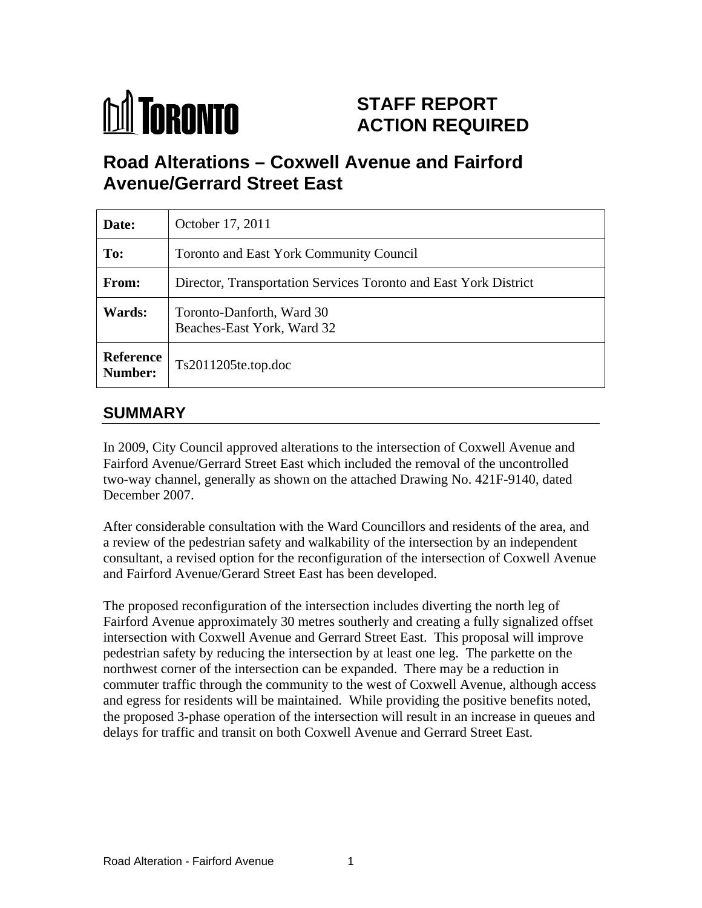

# **STAFF REPORT ACTION REQUIRED**

# **Road Alterations – Coxwell Avenue and Fairford Avenue/Gerrard Street East**

| Date:   | October 17, 2011                                                 |
|---------|------------------------------------------------------------------|
| To:     | Toronto and East York Community Council                          |
| From:   | Director, Transportation Services Toronto and East York District |
| Wards:  | Toronto-Danforth, Ward 30<br>Beaches-East York, Ward 32          |
| Number: | $\textbf{Reference}\mid_{\text{Ts}2011205\text{te.top.doc}}$     |

# **SUMMARY**

In 2009, City Council approved alterations to the intersection of Coxwell Avenue and Fairford Avenue/Gerrard Street East which included the removal of the uncontrolled two-way channel, generally as shown on the attached Drawing No. 421F-9140, dated December 2007.

After considerable consultation with the Ward Councillors and residents of the area, and a review of the pedestrian safety and walkability of the intersection by an independent consultant, a revised option for the reconfiguration of the intersection of Coxwell Avenue and Fairford Avenue/Gerard Street East has been developed.

The proposed reconfiguration of the intersection includes diverting the north leg of Fairford Avenue approximately 30 metres southerly and creating a fully signalized offset intersection with Coxwell Avenue and Gerrard Street East. This proposal will improve pedestrian safety by reducing the intersection by at least one leg. The parkette on the northwest corner of the intersection can be expanded. There may be a reduction in commuter traffic through the community to the west of Coxwell Avenue, although access and egress for residents will be maintained. While providing the positive benefits noted, the proposed 3-phase operation of the intersection will result in an increase in queues and delays for traffic and transit on both Coxwell Avenue and Gerrard Street East.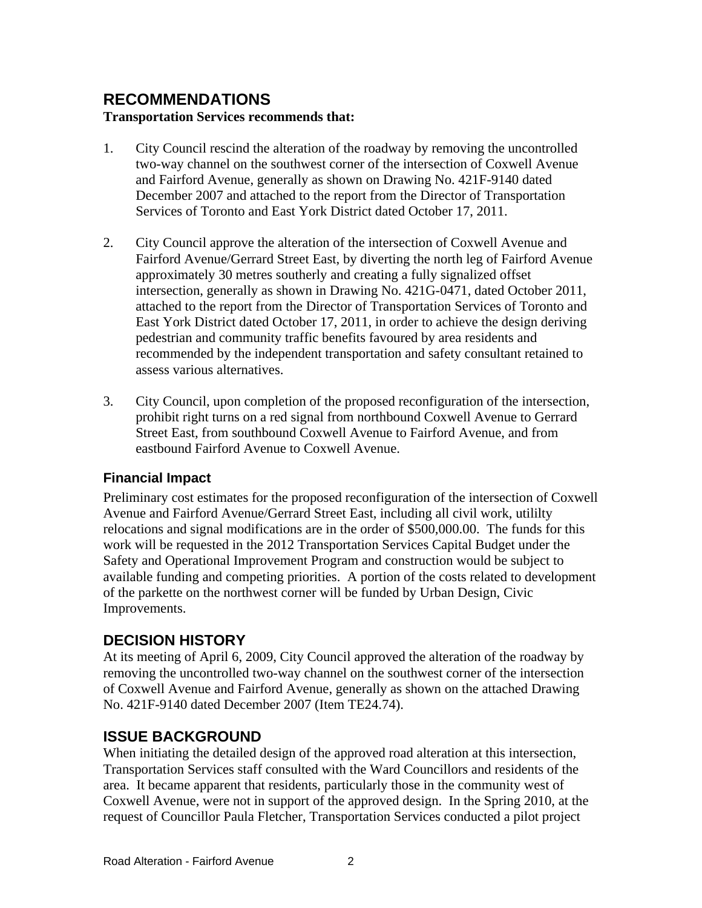#### **RECOMMENDATIONS Transportation Services recommends that:**

- 1. City Council rescind the alteration of the roadway by removing the uncontrolled two-way channel on the southwest corner of the intersection of Coxwell Avenue and Fairford Avenue, generally as shown on Drawing No. 421F-9140 dated December 2007 and attached to the report from the Director of Transportation Services of Toronto and East York District dated October 17, 2011.
- 2. City Council approve the alteration of the intersection of Coxwell Avenue and Fairford Avenue/Gerrard Street East, by diverting the north leg of Fairford Avenue approximately 30 metres southerly and creating a fully signalized offset intersection, generally as shown in Drawing No. 421G-0471, dated October 2011, attached to the report from the Director of Transportation Services of Toronto and East York District dated October 17, 2011, in order to achieve the design deriving pedestrian and community traffic benefits favoured by area residents and recommended by the independent transportation and safety consultant retained to assess various alternatives.
- 3. City Council, upon completion of the proposed reconfiguration of the intersection, prohibit right turns on a red signal from northbound Coxwell Avenue to Gerrard Street East, from southbound Coxwell Avenue to Fairford Avenue, and from eastbound Fairford Avenue to Coxwell Avenue.

#### **Financial Impact**

Preliminary cost estimates for the proposed reconfiguration of the intersection of Coxwell Avenue and Fairford Avenue/Gerrard Street East, including all civil work, utililty relocations and signal modifications are in the order of \$500,000.00. The funds for this work will be requested in the 2012 Transportation Services Capital Budget under the Safety and Operational Improvement Program and construction would be subject to available funding and competing priorities. A portion of the costs related to development of the parkette on the northwest corner will be funded by Urban Design, Civic Improvements.

### **DECISION HISTORY**

At its meeting of April 6, 2009, City Council approved the alteration of the roadway by removing the uncontrolled two-way channel on the southwest corner of the intersection of Coxwell Avenue and Fairford Avenue, generally as shown on the attached Drawing No. 421F-9140 dated December 2007 (Item TE24.74).

#### **ISSUE BACKGROUND**

When initiating the detailed design of the approved road alteration at this intersection, Transportation Services staff consulted with the Ward Councillors and residents of the area. It became apparent that residents, particularly those in the community west of Coxwell Avenue, were not in support of the approved design. In the Spring 2010, at the request of Councillor Paula Fletcher, Transportation Services conducted a pilot project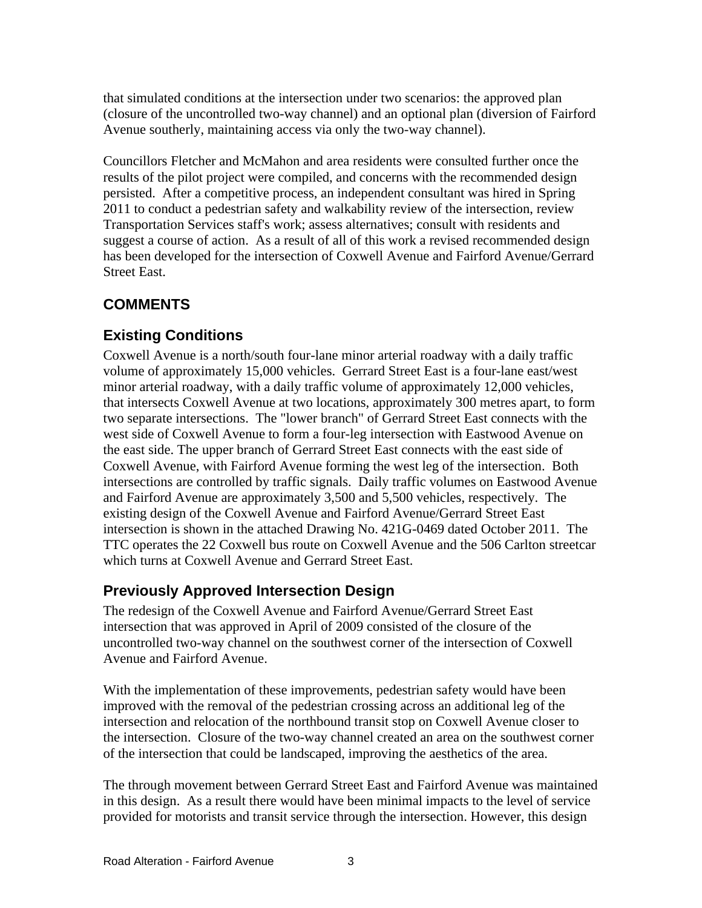that simulated conditions at the intersection under two scenarios: the approved plan (closure of the uncontrolled two-way channel) and an optional plan (diversion of Fairford Avenue southerly, maintaining access via only the two-way channel). Councillors Fletcher and McMahon and area residents were consulted further once the

results of the pilot project were compiled, and concerns with the recommended design persisted. After a competitive process, an independent consultant was hired in Spring 2011 to conduct a pedestrian safety and walkability review of the intersection, review Transportation Services staff's work; assess alternatives; consult with residents and suggest a course of action. As a result of all of this work a revised recommended design has been developed for the intersection of Coxwell Avenue and Fairford Avenue/Gerrard Street East.

# **COMMENTS**

# **Existing Conditions**

Coxwell Avenue is a north/south four-lane minor arterial roadway with a daily traffic volume of approximately 15,000 vehicles. Gerrard Street East is a four-lane east/west minor arterial roadway, with a daily traffic volume of approximately 12,000 vehicles, that intersects Coxwell Avenue at two locations, approximately 300 metres apart, to form two separate intersections. The "lower branch" of Gerrard Street East connects with the west side of Coxwell Avenue to form a four-leg intersection with Eastwood Avenue on the east side. The upper branch of Gerrard Street East connects with the east side of Coxwell Avenue, with Fairford Avenue forming the west leg of the intersection. Both intersections are controlled by traffic signals. Daily traffic volumes on Eastwood Avenue and Fairford Avenue are approximately 3,500 and 5,500 vehicles, respectively. The existing design of the Coxwell Avenue and Fairford Avenue/Gerrard Street East intersection is shown in the attached Drawing No. 421G-0469 dated October 2011. The TTC operates the 22 Coxwell bus route on Coxwell Avenue and the 506 Carlton streetcar which turns at Coxwell Avenue and Gerrard Street East.

### **Previously Approved Intersection Design**

The redesign of the Coxwell Avenue and Fairford Avenue/Gerrard Street East intersection that was approved in April of 2009 consisted of the closure of the uncontrolled two-way channel on the southwest corner of the intersection of Coxwell Avenue and Fairford Avenue.

With the implementation of these improvements, pedestrian safety would have been improved with the removal of the pedestrian crossing across an additional leg of the intersection and relocation of the northbound transit stop on Coxwell Avenue closer to the intersection. Closure of the two-way channel created an area on the southwest corner of the intersection that could be landscaped, improving the aesthetics of the area.

The through movement between Gerrard Street East and Fairford Avenue was maintained in this design. As a result there would have been minimal impacts to the level of service provided for motorists and transit service through the intersection. However, this design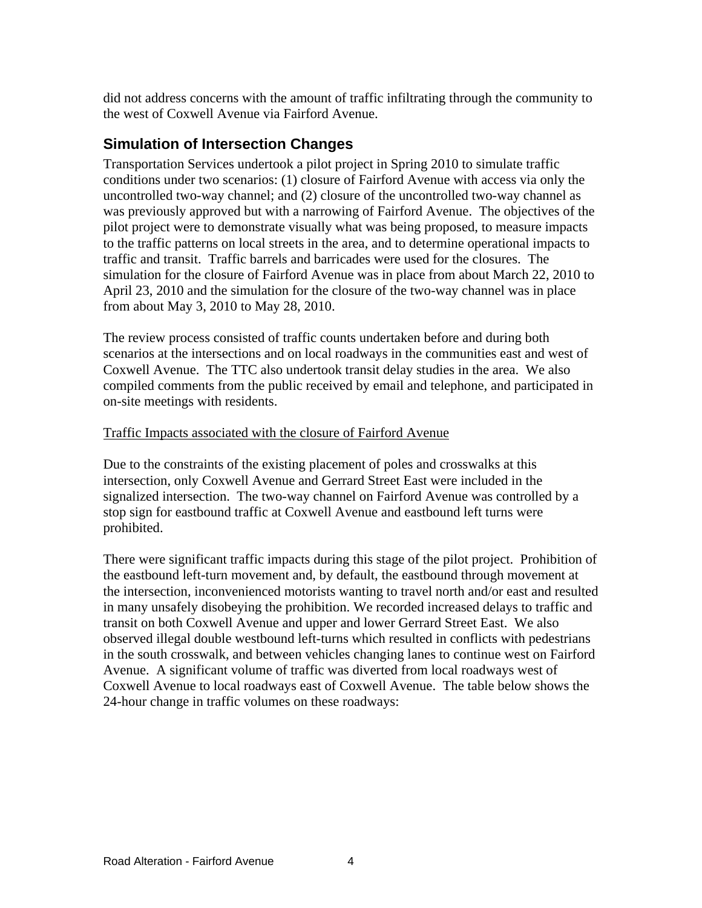did not address concerns with the amount of traffic infiltrating through the community to the west of Coxwell Avenue via Fairford Avenue.

### **Simulation of Intersection Changes**

Transportation Services undertook a pilot project in Spring 2010 to simulate traffic conditions under two scenarios: (1) closure of Fairford Avenue with access via only the uncontrolled two-way channel; and (2) closure of the uncontrolled two-way channel as was previously approved but with a narrowing of Fairford Avenue. The objectives of the pilot project were to demonstrate visually what was being proposed, to measure impacts to the traffic patterns on local streets in the area, and to determine operational impacts to traffic and transit. Traffic barrels and barricades were used for the closures. The simulation for the closure of Fairford Avenue was in place from about March 22, 2010 to April 23, 2010 and the simulation for the closure of the two-way channel was in place from about May 3, 2010 to May 28, 2010.

The review process consisted of traffic counts undertaken before and during both scenarios at the intersections and on local roadways in the communities east and west of Coxwell Avenue. The TTC also undertook transit delay studies in the area. We also compiled comments from the public received by email and telephone, and participated in on-site meetings with residents.

#### Traffic Impacts associated with the closure of Fairford Avenue

Due to the constraints of the existing placement of poles and crosswalks at this intersection, only Coxwell Avenue and Gerrard Street East were included in the signalized intersection. The two-way channel on Fairford Avenue was controlled by a stop sign for eastbound traffic at Coxwell Avenue and eastbound left turns were prohibited.

There were significant traffic impacts during this stage of the pilot project. Prohibition of the eastbound left-turn movement and, by default, the eastbound through movement at the intersection, inconvenienced motorists wanting to travel north and/or east and resulted in many unsafely disobeying the prohibition. We recorded increased delays to traffic and transit on both Coxwell Avenue and upper and lower Gerrard Street East. We also observed illegal double westbound left-turns which resulted in conflicts with pedestrians in the south crosswalk, and between vehicles changing lanes to continue west on Fairford Avenue. A significant volume of traffic was diverted from local roadways west of Coxwell Avenue to local roadways east of Coxwell Avenue. The table below shows the 24-hour change in traffic volumes on these roadways: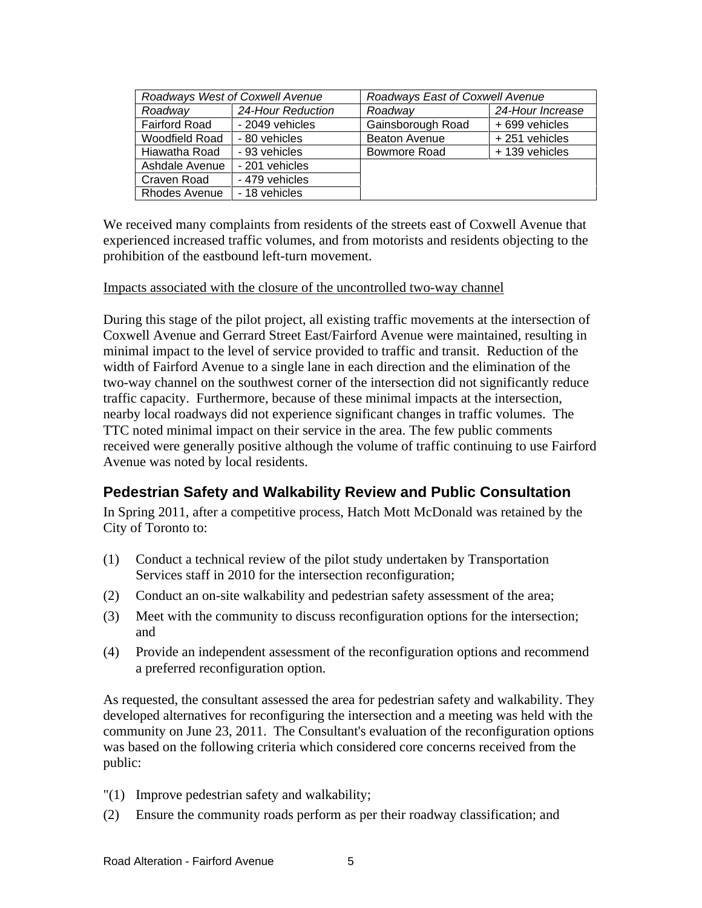| Roadways West of Coxwell Avenue |                   | Roadways East of Coxwell Avenue |                  |
|---------------------------------|-------------------|---------------------------------|------------------|
| Roadway                         | 24-Hour Reduction | Roadway                         | 24-Hour Increase |
| <b>Fairford Road</b>            | - 2049 vehicles   | Gainsborough Road               | $+699$ vehicles  |
| <b>Woodfield Road</b>           | - 80 vehicles     | Beaton Avenue                   | +251 vehicles    |
| Hiawatha Road                   | - 93 vehicles     | Bowmore Road                    | + 139 vehicles   |
| Ashdale Avenue   - 201 vehicles |                   |                                 |                  |
| Craven Road                     | - 479 vehicles    |                                 |                  |
| Rhodes Avenue                   | - 18 vehicles     |                                 |                  |

We received many complaints from residents of the streets east of Coxwell Avenue that experienced increased traffic volumes, and from motorists and residents objecting to the prohibition of the eastbound left-turn movement.

#### Impacts associated with the closure of the uncontrolled two-way channel

During this stage of the pilot project, all existing traffic movements at the intersection of Coxwell Avenue and Gerrard Street East/Fairford Avenue were maintained, resulting in minimal impact to the level of service provided to traffic and transit. Reduction of the width of Fairford Avenue to a single lane in each direction and the elimination of the two-way channel on the southwest corner of the intersection did not significantly reduce traffic capacity. Furthermore, because of these minimal impacts at the intersection, nearby local roadways did not experience significant changes in traffic volumes. The TTC noted minimal impact on their service in the area. The few public comments received were generally positive although the volume of traffic continuing to use Fairford Avenue was noted by local residents.

#### **Pedestrian Safety and Walkability Review and Public Consultation**

In Spring 2011, after a competitive process, Hatch Mott McDonald was retained by the City of Toronto to:

- (1) Conduct a technical review of the pilot study undertaken by Transportation Services staff in 2010 for the intersection reconfiguration;
- (2) Conduct an on-site walkability and pedestrian safety assessment of the area;
- (3) Meet with the community to discuss reconfiguration options for the intersection; and
- (4) Provide an independent assessment of the reconfiguration options and recommend a preferred reconfiguration option.

As requested, the consultant assessed the area for pedestrian safety and walkability. They developed alternatives for reconfiguring the intersection and a meeting was held with the community on June 23, 2011. The Consultant's evaluation of the reconfiguration options was based on the following criteria which considered core concerns received from the public:<br>"(1) Improve pedestrian safety and walkability;

- 
- (2) Ensure the community roads perform as per their roadway classification; and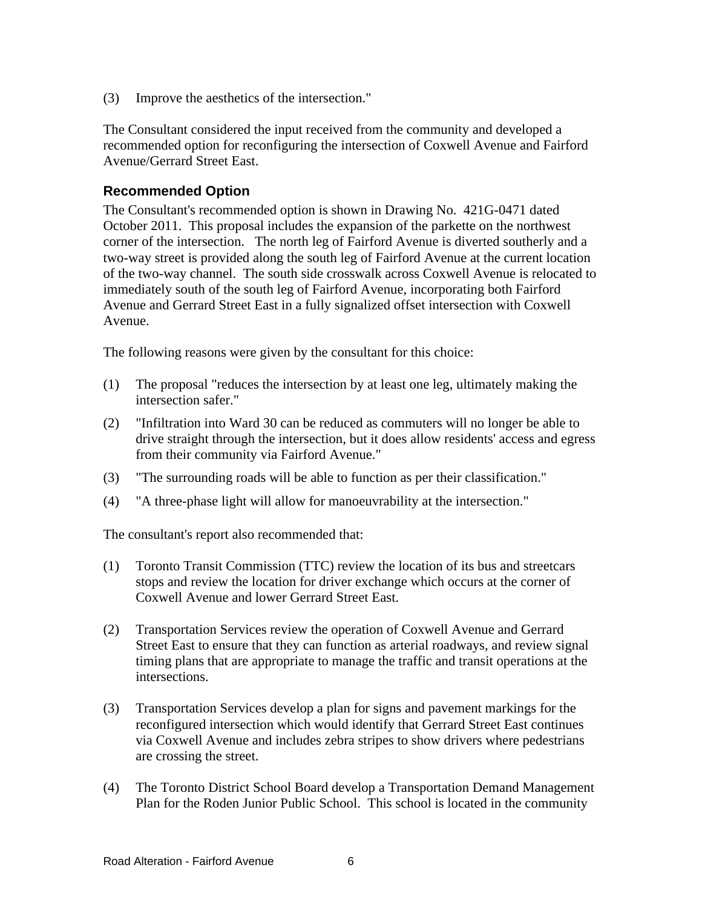(3) Improve the aesthetics of the intersection."

The Consultant considered the input received from the community and developed a recommended option for reconfiguring the intersection of Coxwell Avenue and Fairford Avenue/Gerrard Street East.

#### **Recommended Option**

The Consultant's recommended option is shown in Drawing No. 421G-0471 dated October 2011. This proposal includes the expansion of the parkette on the northwest corner of the intersection. The north leg of Fairford Avenue is diverted southerly and a two-way street is provided along the south leg of Fairford Avenue at the current location of the two-way channel. The south side crosswalk across Coxwell Avenue is relocated to immediately south of the south leg of Fairford Avenue, incorporating both Fairford Avenue and Gerrard Street East in a fully signalized offset intersection with Coxwell Avenue.

The following reasons were given by the consultant for this choice:

- (1) The proposal "reduces the intersection by at least one leg, ultimately making the intersection safer."
- (2) "Infiltration into Ward 30 can be reduced as commuters will no longer be able to drive straight through the intersection, but it does allow residents' access and egress from their community via Fairford Avenue."
- (3) "The surrounding roads will be able to function as per their classification."
- (4) "A three-phase light will allow for manoeuvrability at the intersection."

The consultant's report also recommended that:

- (1) Toronto Transit Commission (TTC) review the location of its bus and streetcars stops and review the location for driver exchange which occurs at the corner of Coxwell Avenue and lower Gerrard Street East.<br>
(2) Transportation Services review the operation of Coxwell Avenue and Gerrard
- Street East to ensure that they can function as arterial roadways, and review signal timing plans that are appropriate to manage the traffic and transit operations at the intersections.
- (3) Transportation Services develop a plan for signs and pavement markings for the reconfigured intersection which would identify that Gerrard Street East continues via Coxwell Avenue and includes zebra stripes to show drivers where pedestrians are crossing the street.
- (4) The Toronto District School Board develop a Transportation Demand Management Plan for the Roden Junior Public School. This school is located in the community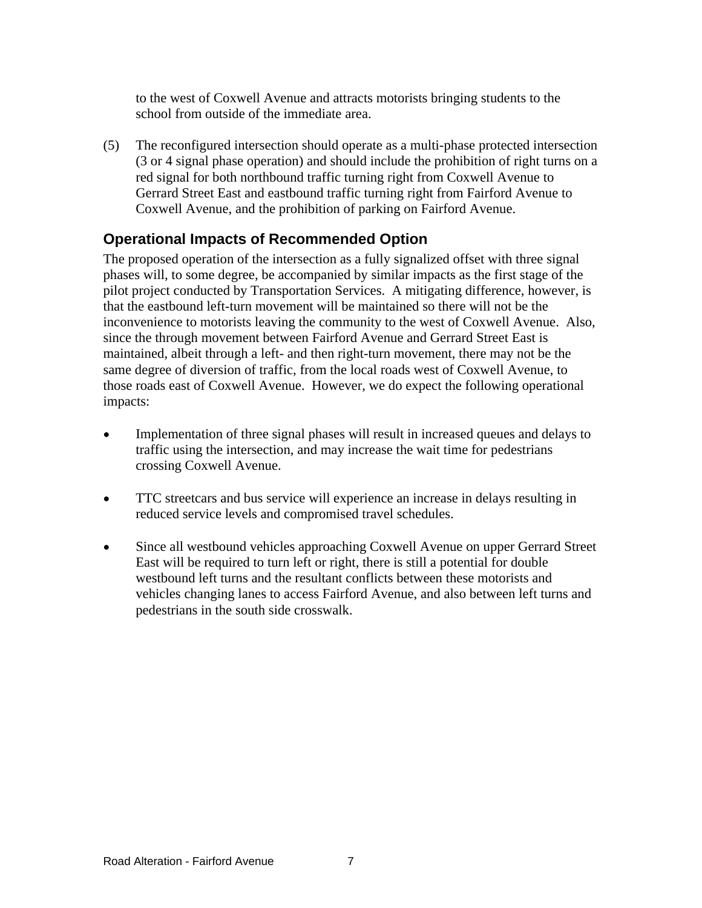to the west of Coxwell Avenue and attracts motorists bringing students to the school from outside of the immediate area.

(5) The reconfigured intersection should operate as a multi-phase protected intersection (3 or 4 signal phase operation) and should include the prohibition of right turns on a red signal for both northbound traffic turning right from Coxwell Avenue to Gerrard Street East and eastbound traffic turning right from Fairford Avenue to Coxwell Avenue, and the prohibition of parking on Fairford Avenue.

# **Operational Impacts of Recommended Option**

The proposed operation of the intersection as a fully signalized offset with three signal phases will, to some degree, be accompanied by similar impacts as the first stage of the pilot project conducted by Transportation Services. A mitigating difference, however, is that the eastbound left-turn movement will be maintained so there will not be the inconvenience to motorists leaving the community to the west of Coxwell Avenue. Also, since the through movement between Fairford Avenue and Gerrard Street East is maintained, albeit through a left- and then right-turn movement, there may not be the same degree of diversion of traffic, from the local roads west of Coxwell Avenue, to those roads east of Coxwell Avenue. However, we do expect the following operational impacts:

- $\bullet$ Implementation of three signal phases will result in increased queues and delays to traffic using the intersection, and may increase the wait time for pedestrians crossing Coxwell Avenue.
- TTC streetcars and bus service will experience an increase in delays resulting in  $\bullet$ reduced service levels and compromised travel schedules.
- Since all westbound vehicles approaching Coxwell Avenue on upper Gerrard Street  $\bullet$ East will be required to turn left or right, there is still a potential for double westbound left turns and the resultant conflicts between these motorists and vehicles changing lanes to access Fairford Avenue, and also between left turns and pedestrians in the south side crosswalk.